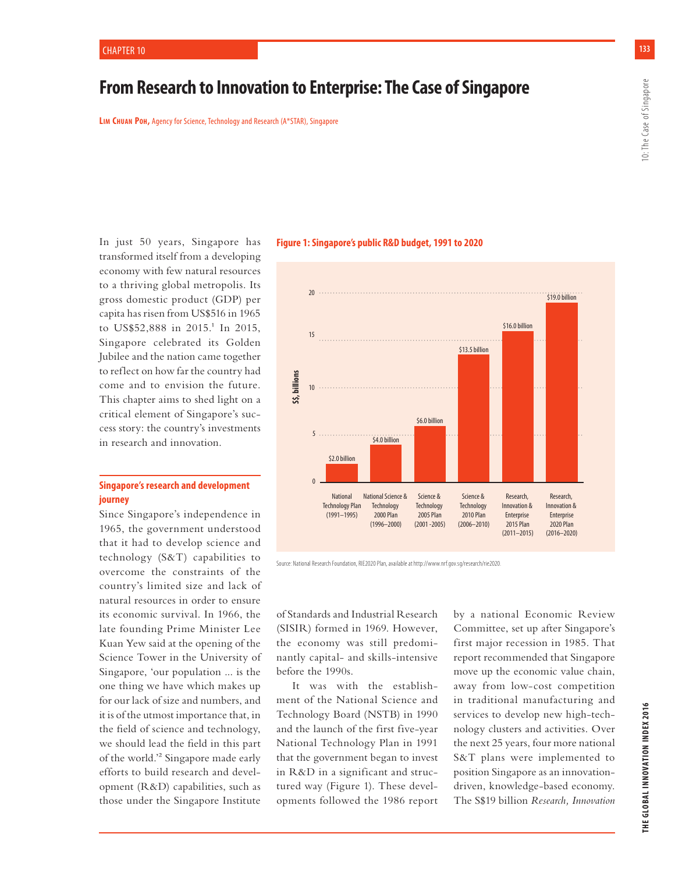# **From Research to Innovation to Enterprise: The Case of Singapore**

10

15

 $20$ 

**LIM CHUAN POH,** Agency for Science, Technology and Research (A\*STAR), Singapore

\$16.0 billion

\$13.5 billion

\$19.0 billion

In just 50 years, Singapore has transformed itself from a developing economy with few natural resources to a thriving global metropolis. Its gross domestic product (GDP) per capita has risen from US\$516 in 1965 to US\$52,888 in 2015.<sup>1</sup> In 2015, Singapore celebrated its Golden Jubilee and the nation came together to reflect on how far the country had come and to envision the future. This chapter aims to shed light on a critical element of Singapore's success story: the country's investments in research and innovation.

#### **Singapore's research and development journey**

Since Singapore's independence in 1965, the government understood that it had to develop science and technology (S&T) capabilities to overcome the constraints of the country's limited size and lack of natural resources in order to ensure its economic survival. In 1966, the late founding Prime Minister Lee Kuan Yew said at the opening of the Science Tower in the University of Singapore, 'our population ... is the one thing we have which makes up for our lack of size and numbers, and it is of the utmost importance that, in the field of science and technology, we should lead the field in this part of the world.'2 Singapore made early efforts to build research and development (R&D) capabilities, such as those under the Singapore Institute

 $\mathbf{0}$ 5 Research, Innovation & **Enterprise** 2020 Plan (2016–2020) Research, Innovation & **Enterprise** 2015 Plan (2011–2015) Science & **Technology** 2010 Plan (2006–2010) Science & **Technology** 2005 Plan (2001 -2005) National Science & **Technology** 2000 Plan (1996–2000) **National** Technology Plan (1991–1995) \$6.0 billion \$4.0 billion \$2.0 billion Sol billion<br>
Source: National Research Foundation, RIE2020 Plan, available at http://www.nrf.gov.sg/research/rie2020.<br>
Source: National Research Foundation, RIE2020 Plan, available at http://www.nrf.gov.sg/research/rie2020

#### **Figure 1: Singapore's public R&D budget, 1991 to 2020**

of Standards and Industrial Research (SISIR) formed in 1969. However, the economy was still predominantly capital- and skills-intensive before the 1990s.

It was with the establishment of the National Science and Technology Board (NSTB) in 1990 and the launch of the first five-year National Technology Plan in 1991 that the government began to invest in R&D in a significant and structured way (Figure 1). These developments followed the 1986 report by a national Economic Review Committee, set up after Singapore's first major recession in 1985. That report recommended that Singapore move up the economic value chain, away from low-cost competition in traditional manufacturing and services to develop new high-technology clusters and activities. Over the next 25 years, four more national S&T plans were implemented to position Singapore as an innovationdriven, knowledge-based economy. The S\$19 billion *Research, Innovation*  **133**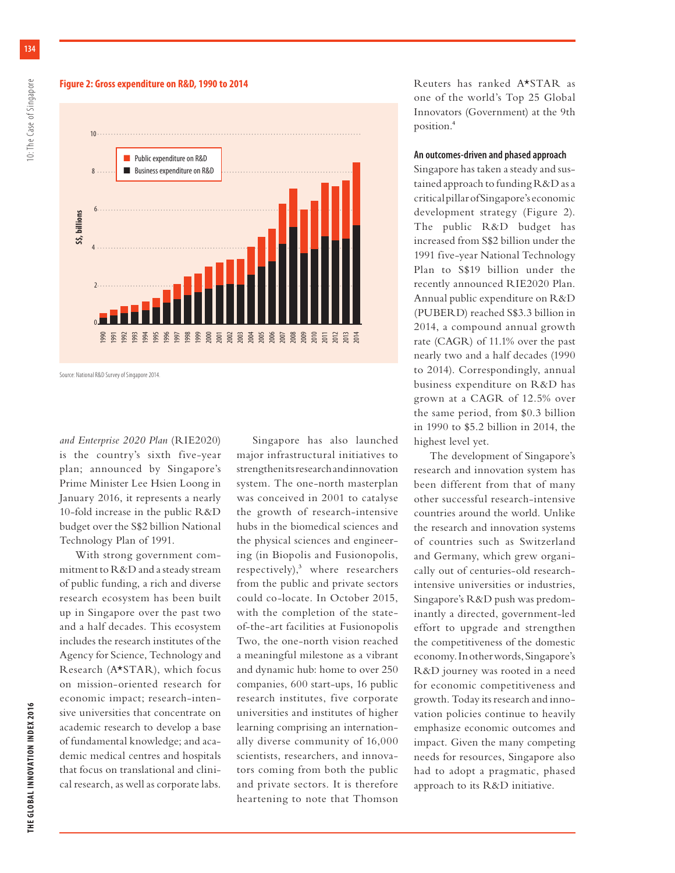## 0 2 4 6 8 10 1990 1991 1992 1993 1994 1995 1996 1997 1998 1999 2000 2001 2002 2003 2004 2005 2006 2007 2008 2009 2010 2011 2012 2013 2014 **Source: National R&D Survey of Singapore 2014.**<br>Source: National R&D Survey of Singapore 2014. **D** Public expenditure on R&D **Business expenditure on R&D**

*and Enterprise 2020 Plan* (RIE2020) is the country's sixth five-year plan; announced by Singapore's Prime Minister Lee Hsien Loong in January 2016, it represents a nearly 10-fold increase in the public R&D budget over the S\$2 billion National Technology Plan of 1991.

**Figure 2: Gross expenditure on R&D, 1990 to 2014**

With strong government commitment to R&D and a steady stream of public funding, a rich and diverse research ecosystem has been built up in Singapore over the past two and a half decades. This ecosystem includes the research institutes of the Agency for Science, Technology and Research (A\*STAR), which focus on mission-oriented research for economic impact; research-intensive universities that concentrate on academic research to develop a base of fundamental knowledge; and academic medical centres and hospitals that focus on translational and clinical research, as well as corporate labs.

Singapore has also launched major infrastructural initiatives to strengthen its research and innovation system. The one-north masterplan was conceived in 2001 to catalyse the growth of research-intensive hubs in the biomedical sciences and the physical sciences and engineering (in Biopolis and Fusionopolis, respectively),<sup>3</sup> where researchers from the public and private sectors could co-locate. In October 2015, with the completion of the stateof-the-art facilities at Fusionopolis Two, the one-north vision reached a meaningful milestone as a vibrant and dynamic hub: home to over 250 companies, 600 start-ups, 16 public research institutes, five corporate universities and institutes of higher learning comprising an internationally diverse community of 16,000 scientists, researchers, and innovators coming from both the public and private sectors. It is therefore heartening to note that Thomson

Reuters has ranked A\*STAR as one of the world's Top 25 Global Innovators (Government) at the 9th position.4

#### **An outcomes-driven and phased approach**

Singapore has taken a steady and sustained approach to funding R&D as a critical pillar of Singapore's economic development strategy (Figure 2). The public R&D budget has increased from S\$2 billion under the 1991 five-year National Technology Plan to S\$19 billion under the recently announced RIE2020 Plan. Annual public expenditure on R&D (PUBERD) reached S\$3.3 billion in 2014, a compound annual growth rate (CAGR) of 11.1% over the past nearly two and a half decades (1990 to 2014). Correspondingly, annual business expenditure on R&D has grown at a CAGR of 12.5% over the same period, from \$0.3 billion in 1990 to \$5.2 billion in 2014, the highest level yet.

The development of Singapore's research and innovation system has been different from that of many other successful research-intensive countries around the world. Unlike the research and innovation systems of countries such as Switzerland and Germany, which grew organically out of centuries-old researchintensive universities or industries, Singapore's R&D push was predominantly a directed, government-led effort to upgrade and strengthen the competitiveness of the domestic economy. In other words, Singapore's R&D journey was rooted in a need for economic competitiveness and growth. Today its research and innovation policies continue to heavily emphasize economic outcomes and impact. Given the many competing needs for resources, Singapore also had to adopt a pragmatic, phased approach to its R&D initiative.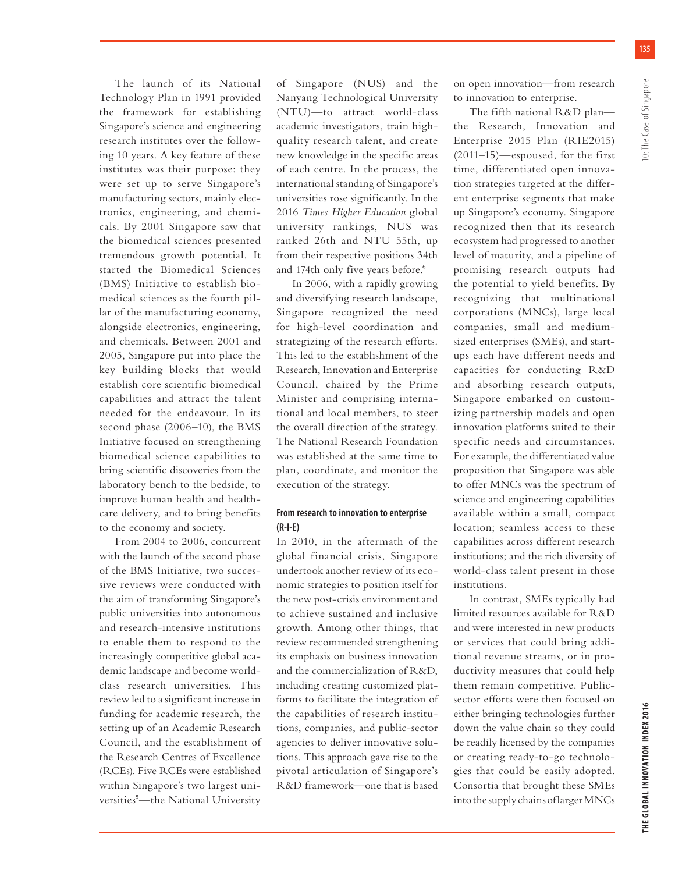**135**

The launch of its National Technology Plan in 1991 provided the framework for establishing Singapore's science and engineering research institutes over the following 10 years. A key feature of these institutes was their purpose: they were set up to serve Singapore's manufacturing sectors, mainly electronics, engineering, and chemicals. By 2001 Singapore saw that the biomedical sciences presented tremendous growth potential. It started the Biomedical Sciences (BMS) Initiative to establish biomedical sciences as the fourth pillar of the manufacturing economy, alongside electronics, engineering, and chemicals. Between 2001 and 2005, Singapore put into place the key building blocks that would establish core scientific biomedical capabilities and attract the talent needed for the endeavour. In its second phase (2006–10), the BMS Initiative focused on strengthening biomedical science capabilities to bring scientific discoveries from the laboratory bench to the bedside, to improve human health and healthcare delivery, and to bring benefits to the economy and society.

From 2004 to 2006, concurrent with the launch of the second phase of the BMS Initiative, two successive reviews were conducted with the aim of transforming Singapore's public universities into autonomous and research-intensive institutions to enable them to respond to the increasingly competitive global academic landscape and become worldclass research universities. This review led to a significant increase in funding for academic research, the setting up of an Academic Research Council, and the establishment of the Research Centres of Excellence (RCEs). Five RCEs were established within Singapore's two largest universities<sup>5</sup>—the National University

of Singapore (NUS) and the Nanyang Technological University (NTU)—to attract world-class academic investigators, train highquality research talent, and create new knowledge in the specific areas of each centre. In the process, the international standing of Singapore's universities rose significantly. In the 2016 *Times Higher Education* global university rankings, NUS was ranked 26th and NTU 55th, up from their respective positions 34th and 174th only five years before.<sup>6</sup>

In 2006, with a rapidly growing and diversifying research landscape, Singapore recognized the need for high-level coordination and strategizing of the research efforts. This led to the establishment of the Research, Innovation and Enterprise Council, chaired by the Prime Minister and comprising international and local members, to steer the overall direction of the strategy. The National Research Foundation was established at the same time to plan, coordinate, and monitor the execution of the strategy.

#### **From research to innovation to enterprise (R-I-E)**

In 2010, in the aftermath of the global financial crisis, Singapore undertook another review of its economic strategies to position itself for the new post-crisis environment and to achieve sustained and inclusive growth. Among other things, that review recommended strengthening its emphasis on business innovation and the commercialization of R&D, including creating customized platforms to facilitate the integration of the capabilities of research institutions, companies, and public-sector agencies to deliver innovative solutions. This approach gave rise to the pivotal articulation of Singapore's R&D framework—one that is based

on open innovation—from research to innovation to enterprise.

The fifth national R&D plan the Research, Innovation and Enterprise 2015 Plan (RIE2015) (2011–15)—espoused, for the first time, differentiated open innovation strategies targeted at the different enterprise segments that make up Singapore's economy. Singapore recognized then that its research ecosystem had progressed to another level of maturity, and a pipeline of promising research outputs had the potential to yield benefits. By recognizing that multinational corporations (MNCs), large local companies, small and mediumsized enterprises (SMEs), and startups each have different needs and capacities for conducting R&D and absorbing research outputs, Singapore embarked on customizing partnership models and open innovation platforms suited to their specific needs and circumstances. For example, the differentiated value proposition that Singapore was able to offer MNCs was the spectrum of science and engineering capabilities available within a small, compact location; seamless access to these capabilities across different research institutions; and the rich diversity of world-class talent present in those institutions.

In contrast, SMEs typically had limited resources available for R&D and were interested in new products or services that could bring additional revenue streams, or in productivity measures that could help them remain competitive. Publicsector efforts were then focused on either bringing technologies further down the value chain so they could be readily licensed by the companies or creating ready-to-go technologies that could be easily adopted. Consortia that brought these SMEs into the supply chains of larger MNCs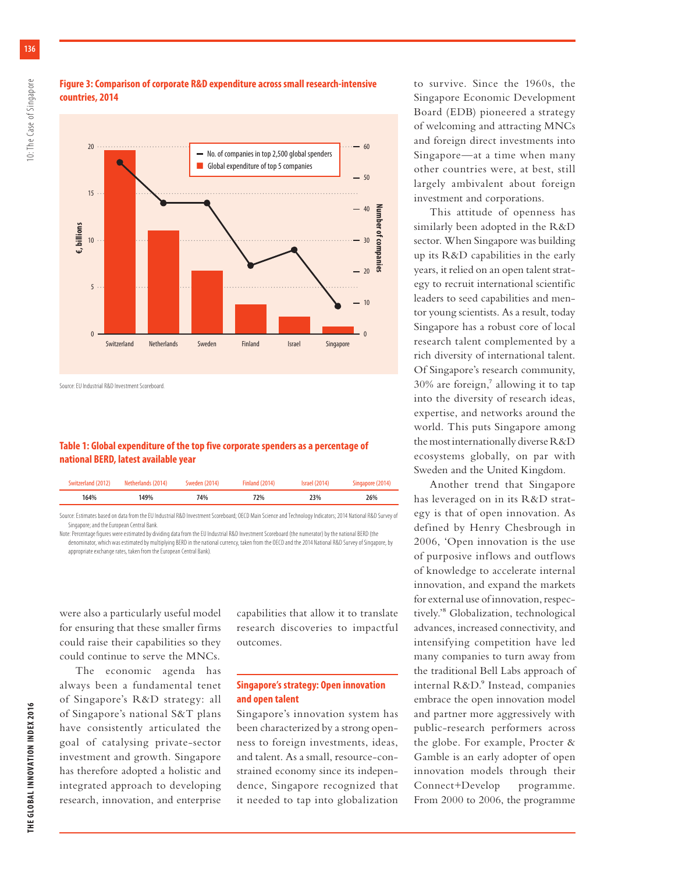

### **Figure 3: Comparison of corporate R&D expenditure across small research-intensive countries, 2014**

### **Table 1: Global expenditure of the top five corporate spenders as a percentage of national BERD, latest available year**

| Switzerland (2012) | Netherlands (2014) | Sweden (2014) | Finland (2014) | <b>Israel (2014)</b> | Singapore (2014) |
|--------------------|--------------------|---------------|----------------|----------------------|------------------|
| 164%               | 149%               | 74%           | 72%            | 23%                  | 26%              |

Source: Estimates based on data from the EU Industrial R&D Investment Scoreboard; OECD Main Science and Technology Indicators; 2014 National R&D Survey of Singapore; and the European Central Bank.

Note: Percentage figures were estimated by dividing data from the EU Industrial R&D Investment Scoreboard (the numerator) by the national BERD (the denominator, which was estimated by multiplying BERD in the national currency, taken from the OECD and the 2014 National R&D Survey of Singapore, by appropriate exchange rates, taken from the European Central Bank).

were also a particularly useful model for ensuring that these smaller firms could raise their capabilities so they could continue to serve the MNCs.

The economic agenda has always been a fundamental tenet of Singapore's R&D strategy: all of Singapore's national S&T plans have consistently articulated the goal of catalysing private-sector investment and growth. Singapore has therefore adopted a holistic and integrated approach to developing research, innovation, and enterprise capabilities that allow it to translate research discoveries to impactful outcomes.

## **Singapore's strategy: Open innovation and open talent**

Singapore's innovation system has been characterized by a strong openness to foreign investments, ideas, and talent. As a small, resource-constrained economy since its independence, Singapore recognized that it needed to tap into globalization

to survive. Since the 1960s, the Singapore Economic Development Board (EDB) pioneered a strategy of welcoming and attracting MNCs and foreign direct investments into Singapore—at a time when many other countries were, at best, still largely ambivalent about foreign investment and corporations.

This attitude of openness has similarly been adopted in the R&D sector. When Singapore was building up its R&D capabilities in the early years, it relied on an open talent strategy to recruit international scientific leaders to seed capabilities and mentor young scientists. As a result, today Singapore has a robust core of local research talent complemented by a rich diversity of international talent. Of Singapore's research community,  $30\%$  are foreign,<sup>7</sup> allowing it to tap into the diversity of research ideas, expertise, and networks around the world. This puts Singapore among the most internationally diverse R&D ecosystems globally, on par with Sweden and the United Kingdom.

Another trend that Singapore has leveraged on in its R&D strategy is that of open innovation. As defined by Henry Chesbrough in 2006, 'Open innovation is the use of purposive inflows and outflows of knowledge to accelerate internal innovation, and expand the markets for external use of innovation, respectively.'8 Globalization, technological advances, increased connectivity, and intensifying competition have led many companies to turn away from the traditional Bell Labs approach of internal R&D.9 Instead, companies embrace the open innovation model and partner more aggressively with public-research performers across the globe. For example, Procter & Gamble is an early adopter of open innovation models through their Connect+Develop programme. From 2000 to 2006, the programme

**136**

O: The Case of Singapore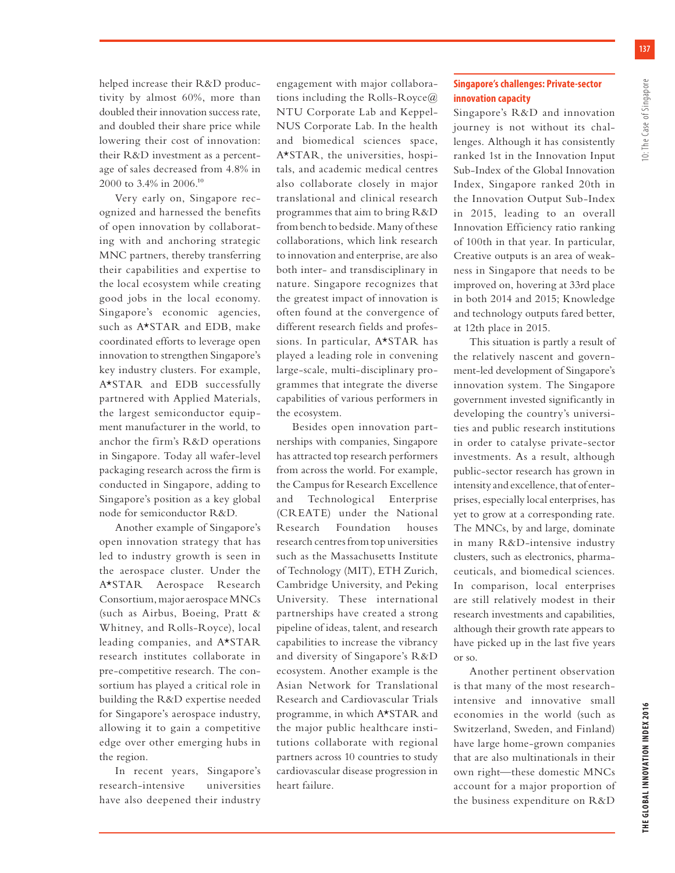helped increase their R&D productivity by almost 60%, more than doubled their innovation success rate, and doubled their share price while lowering their cost of innovation: their R&D investment as a percentage of sales decreased from 4.8% in 2000 to 3.4% in 2006.10

Very early on, Singapore recognized and harnessed the benefits of open innovation by collaborating with and anchoring strategic MNC partners, thereby transferring their capabilities and expertise to the local ecosystem while creating good jobs in the local economy. Singapore's economic agencies, such as A\*STAR and EDB, make coordinated efforts to leverage open innovation to strengthen Singapore's key industry clusters. For example, A\*STAR and EDB successfully partnered with Applied Materials, the largest semiconductor equipment manufacturer in the world, to anchor the firm's R&D operations in Singapore. Today all wafer-level packaging research across the firm is conducted in Singapore, adding to Singapore's position as a key global node for semiconductor R&D.

Another example of Singapore's open innovation strategy that has led to industry growth is seen in the aerospace cluster. Under the A\*STAR Aerospace Research Consortium, major aerospace MNCs (such as Airbus, Boeing, Pratt & Whitney, and Rolls-Royce), local leading companies, and A\*STAR research institutes collaborate in pre-competitive research. The consortium has played a critical role in building the R&D expertise needed for Singapore's aerospace industry, allowing it to gain a competitive edge over other emerging hubs in the region.

In recent years, Singapore's research-intensive universities have also deepened their industry engagement with major collaborations including the Rolls-Royce@ NTU Corporate Lab and Keppel-NUS Corporate Lab. In the health and biomedical sciences space, A\*STAR, the universities, hospitals, and academic medical centres also collaborate closely in major translational and clinical research programmes that aim to bring R&D from bench to bedside. Many of these collaborations, which link research to innovation and enterprise, are also both inter- and transdisciplinary in nature. Singapore recognizes that the greatest impact of innovation is often found at the convergence of different research fields and professions. In particular, A\*STAR has played a leading role in convening large-scale, multi-disciplinary programmes that integrate the diverse capabilities of various performers in the ecosystem.

Besides open innovation partnerships with companies, Singapore has attracted top research performers from across the world. For example, the Campus for Research Excellence and Technological Enterprise (CREATE) under the National Research Foundation houses research centres from top universities such as the Massachusetts Institute of Technology (MIT), ETH Zurich, Cambridge University, and Peking University. These international partnerships have created a strong pipeline of ideas, talent, and research capabilities to increase the vibrancy and diversity of Singapore's R&D ecosystem. Another example is the Asian Network for Translational Research and Cardiovascular Trials programme, in which A\*STAR and the major public healthcare institutions collaborate with regional partners across 10 countries to study cardiovascular disease progression in heart failure.

## **Singapore's challenges: Private-sector innovation capacity**

Singapore's R&D and innovation journey is not without its challenges. Although it has consistently ranked 1st in the Innovation Input Sub-Index of the Global Innovation Index, Singapore ranked 20th in the Innovation Output Sub-Index in 2015, leading to an overall Innovation Efficiency ratio ranking of 100th in that year. In particular, Creative outputs is an area of weakness in Singapore that needs to be improved on, hovering at 33rd place in both 2014 and 2015; Knowledge and technology outputs fared better, at 12th place in 2015.

This situation is partly a result of the relatively nascent and government-led development of Singapore's innovation system. The Singapore government invested significantly in developing the country's universities and public research institutions in order to catalyse private-sector investments. As a result, although public-sector research has grown in intensity and excellence, that of enterprises, especially local enterprises, has yet to grow at a corresponding rate. The MNCs, by and large, dominate in many R&D-intensive industry clusters, such as electronics, pharmaceuticals, and biomedical sciences. In comparison, local enterprises are still relatively modest in their research investments and capabilities, although their growth rate appears to have picked up in the last five years or so.

Another pertinent observation is that many of the most researchintensive and innovative small economies in the world (such as Switzerland, Sweden, and Finland) have large home-grown companies that are also multinationals in their own right—these domestic MNCs account for a major proportion of the business expenditure on R&D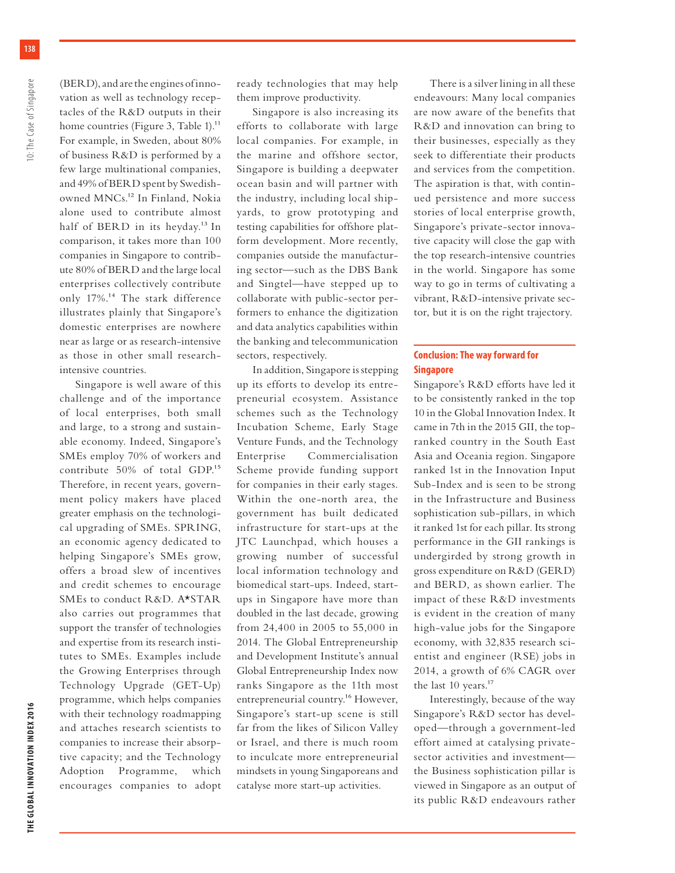**138**

(BERD), and are the engines of innovation as well as technology receptacles of the R&D outputs in their home countries (Figure 3, Table 1).<sup>11</sup> For example, in Sweden, about 80% of business R&D is performed by a few large multinational companies, and 49% of BERD spent by Swedishowned MNCs.12 In Finland, Nokia alone used to contribute almost half of BERD in its heyday.<sup>13</sup> In comparison, it takes more than 100 companies in Singapore to contribute 80% of BERD and the large local enterprises collectively contribute only 17%.14 The stark difference illustrates plainly that Singapore's domestic enterprises are nowhere near as large or as research-intensive as those in other small researchintensive countries.

Singapore is well aware of this challenge and of the importance of local enterprises, both small and large, to a strong and sustainable economy. Indeed, Singapore's SMEs employ 70% of workers and contribute 50% of total GDP.<sup>15</sup> Therefore, in recent years, government policy makers have placed greater emphasis on the technological upgrading of SMEs. SPRING, an economic agency dedicated to helping Singapore's SMEs grow, offers a broad slew of incentives and credit schemes to encourage SMEs to conduct R&D. A\*STAR also carries out programmes that support the transfer of technologies and expertise from its research institutes to SMEs. Examples include the Growing Enterprises through Technology Upgrade (GET-Up) programme, which helps companies with their technology roadmapping and attaches research scientists to companies to increase their absorptive capacity; and the Technology Adoption Programme, which encourages companies to adopt ready technologies that may help them improve productivity.

Singapore is also increasing its efforts to collaborate with large local companies. For example, in the marine and offshore sector, Singapore is building a deepwater ocean basin and will partner with the industry, including local shipyards, to grow prototyping and testing capabilities for offshore platform development. More recently, companies outside the manufacturing sector—such as the DBS Bank and Singtel—have stepped up to collaborate with public-sector performers to enhance the digitization and data analytics capabilities within the banking and telecommunication sectors, respectively.

In addition, Singapore is stepping up its efforts to develop its entrepreneurial ecosystem. Assistance schemes such as the Technology Incubation Scheme, Early Stage Venture Funds, and the Technology Enterprise Commercialisation Scheme provide funding support for companies in their early stages. Within the one-north area, the government has built dedicated infrastructure for start-ups at the JTC Launchpad, which houses a growing number of successful local information technology and biomedical start-ups. Indeed, startups in Singapore have more than doubled in the last decade, growing from 24,400 in 2005 to 55,000 in 2014. The Global Entrepreneurship and Development Institute's annual Global Entrepreneurship Index now ranks Singapore as the 11th most entrepreneurial country.16 However, Singapore's start-up scene is still far from the likes of Silicon Valley or Israel, and there is much room to inculcate more entrepreneurial mindsets in young Singaporeans and catalyse more start-up activities.

There is a silver lining in all these endeavours: Many local companies are now aware of the benefits that R&D and innovation can bring to their businesses, especially as they seek to differentiate their products and services from the competition. The aspiration is that, with continued persistence and more success stories of local enterprise growth, Singapore's private-sector innovative capacity will close the gap with the top research-intensive countries in the world. Singapore has some way to go in terms of cultivating a vibrant, R&D-intensive private sector, but it is on the right trajectory.

### **Conclusion: The way forward for Singapore**

Singapore's R&D efforts have led it to be consistently ranked in the top 10 in the Global Innovation Index. It came in 7th in the 2015 GII, the topranked country in the South East Asia and Oceania region. Singapore ranked 1st in the Innovation Input Sub-Index and is seen to be strong in the Infrastructure and Business sophistication sub-pillars, in which it ranked 1st for each pillar. Its strong performance in the GII rankings is undergirded by strong growth in gross expenditure on R&D (GERD) and BERD, as shown earlier. The impact of these R&D investments is evident in the creation of many high-value jobs for the Singapore economy, with 32,835 research scientist and engineer (RSE) jobs in 2014, a growth of 6% CAGR over the last 10 years.<sup>17</sup>

Interestingly, because of the way Singapore's R&D sector has developed—through a government-led effort aimed at catalysing privatesector activities and investment the Business sophistication pillar is viewed in Singapore as an output of its public R&D endeavours rather